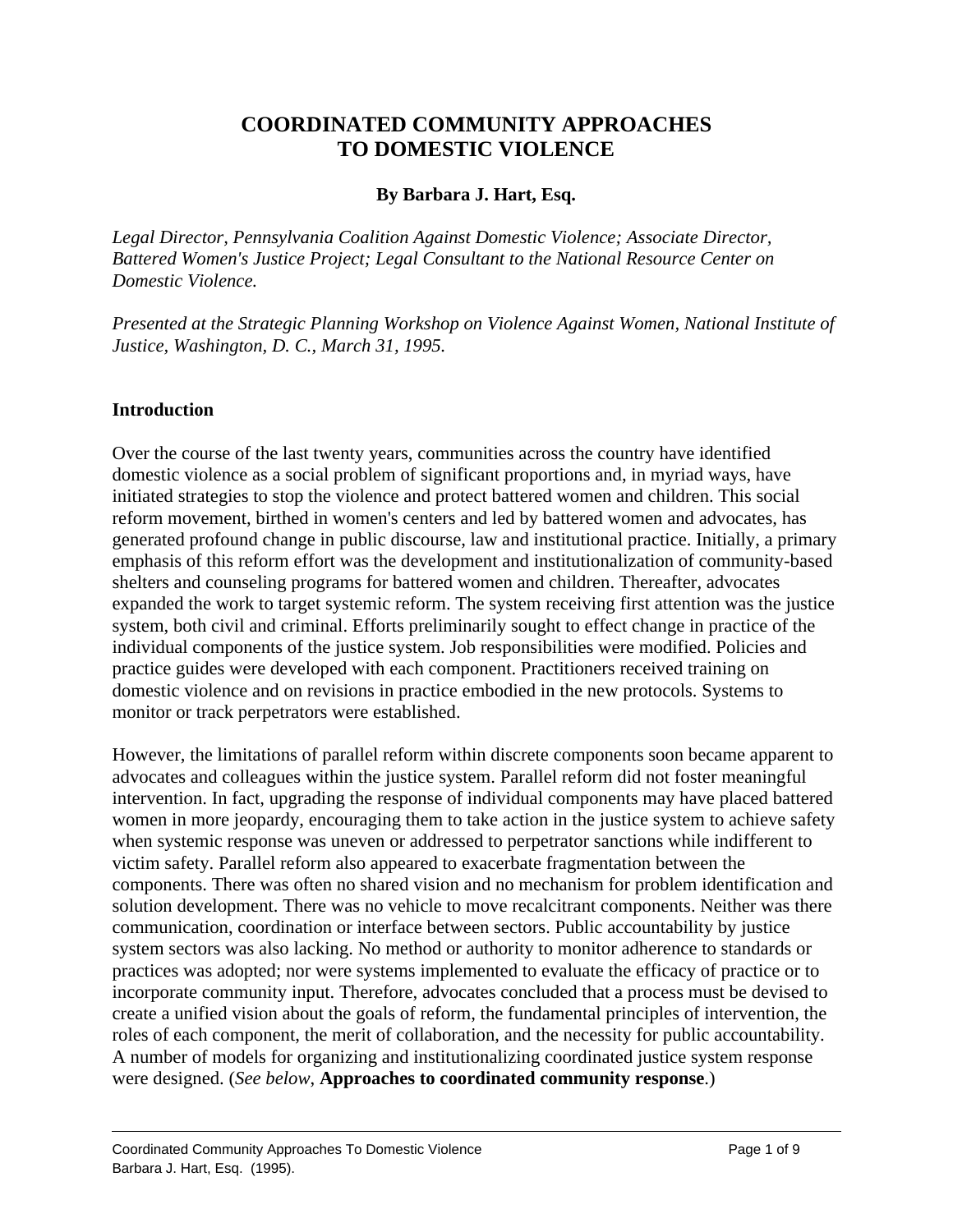# **COORDINATED COMMUNITY APPROACHES TO DOMESTIC VIOLENCE**

### **By Barbara J. Hart, Esq.**

*Legal Director, Pennsylvania Coalition Against Domestic Violence; Associate Director, Battered Women's Justice Project; Legal Consultant to the National Resource Center on Domestic Violence.*

*Presented at the Strategic Planning Workshop on Violence Against Women, National Institute of Justice, Washington, D. C., March 31, 1995.*

### **Introduction**

Over the course of the last twenty years, communities across the country have identified domestic violence as a social problem of significant proportions and, in myriad ways, have initiated strategies to stop the violence and protect battered women and children. This social reform movement, birthed in women's centers and led by battered women and advocates, has generated profound change in public discourse, law and institutional practice. Initially, a primary emphasis of this reform effort was the development and institutionalization of community-based shelters and counseling programs for battered women and children. Thereafter, advocates expanded the work to target systemic reform. The system receiving first attention was the justice system, both civil and criminal. Efforts preliminarily sought to effect change in practice of the individual components of the justice system. Job responsibilities were modified. Policies and practice guides were developed with each component. Practitioners received training on domestic violence and on revisions in practice embodied in the new protocols. Systems to monitor or track perpetrators were established.

However, the limitations of parallel reform within discrete components soon became apparent to advocates and colleagues within the justice system. Parallel reform did not foster meaningful intervention. In fact, upgrading the response of individual components may have placed battered women in more jeopardy, encouraging them to take action in the justice system to achieve safety when systemic response was uneven or addressed to perpetrator sanctions while indifferent to victim safety. Parallel reform also appeared to exacerbate fragmentation between the components. There was often no shared vision and no mechanism for problem identification and solution development. There was no vehicle to move recalcitrant components. Neither was there communication, coordination or interface between sectors. Public accountability by justice system sectors was also lacking. No method or authority to monitor adherence to standards or practices was adopted; nor were systems implemented to evaluate the efficacy of practice or to incorporate community input. Therefore, advocates concluded that a process must be devised to create a unified vision about the goals of reform, the fundamental principles of intervention, the roles of each component, the merit of collaboration, and the necessity for public accountability. A number of models for organizing and institutionalizing coordinated justice system response were designed. (*See below*, **Approaches to coordinated community response**.)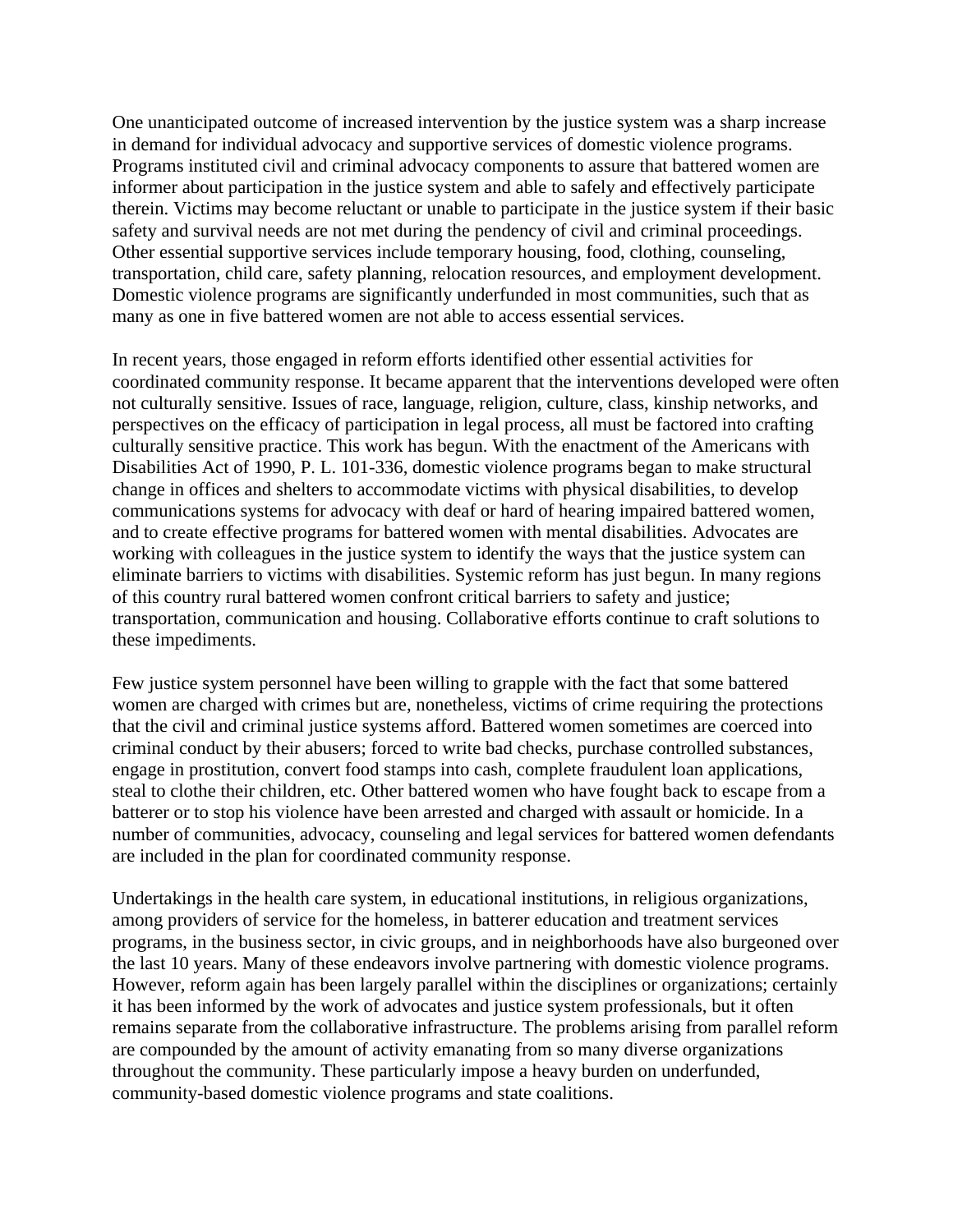One unanticipated outcome of increased intervention by the justice system was a sharp increase in demand for individual advocacy and supportive services of domestic violence programs. Programs instituted civil and criminal advocacy components to assure that battered women are informer about participation in the justice system and able to safely and effectively participate therein. Victims may become reluctant or unable to participate in the justice system if their basic safety and survival needs are not met during the pendency of civil and criminal proceedings. Other essential supportive services include temporary housing, food, clothing, counseling, transportation, child care, safety planning, relocation resources, and employment development. Domestic violence programs are significantly underfunded in most communities, such that as many as one in five battered women are not able to access essential services.

In recent years, those engaged in reform efforts identified other essential activities for coordinated community response. It became apparent that the interventions developed were often not culturally sensitive. Issues of race, language, religion, culture, class, kinship networks, and perspectives on the efficacy of participation in legal process, all must be factored into crafting culturally sensitive practice. This work has begun. With the enactment of the Americans with Disabilities Act of 1990, P. L. 101-336, domestic violence programs began to make structural change in offices and shelters to accommodate victims with physical disabilities, to develop communications systems for advocacy with deaf or hard of hearing impaired battered women, and to create effective programs for battered women with mental disabilities. Advocates are working with colleagues in the justice system to identify the ways that the justice system can eliminate barriers to victims with disabilities. Systemic reform has just begun. In many regions of this country rural battered women confront critical barriers to safety and justice; transportation, communication and housing. Collaborative efforts continue to craft solutions to these impediments.

Few justice system personnel have been willing to grapple with the fact that some battered women are charged with crimes but are, nonetheless, victims of crime requiring the protections that the civil and criminal justice systems afford. Battered women sometimes are coerced into criminal conduct by their abusers; forced to write bad checks, purchase controlled substances, engage in prostitution, convert food stamps into cash, complete fraudulent loan applications, steal to clothe their children, etc. Other battered women who have fought back to escape from a batterer or to stop his violence have been arrested and charged with assault or homicide. In a number of communities, advocacy, counseling and legal services for battered women defendants are included in the plan for coordinated community response.

Undertakings in the health care system, in educational institutions, in religious organizations, among providers of service for the homeless, in batterer education and treatment services programs, in the business sector, in civic groups, and in neighborhoods have also burgeoned over the last 10 years. Many of these endeavors involve partnering with domestic violence programs. However, reform again has been largely parallel within the disciplines or organizations; certainly it has been informed by the work of advocates and justice system professionals, but it often remains separate from the collaborative infrastructure. The problems arising from parallel reform are compounded by the amount of activity emanating from so many diverse organizations throughout the community. These particularly impose a heavy burden on underfunded, community-based domestic violence programs and state coalitions.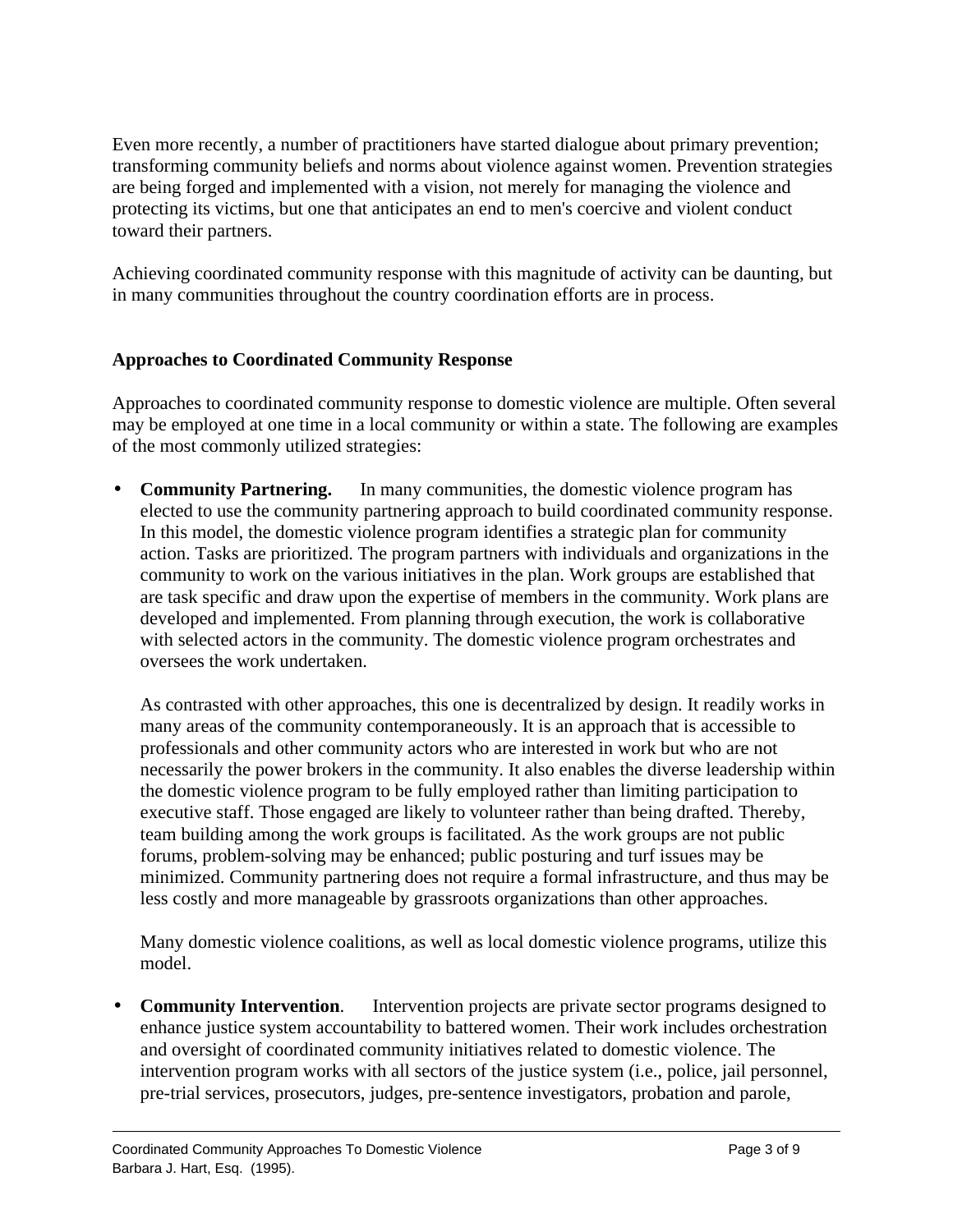Even more recently, a number of practitioners have started dialogue about primary prevention; transforming community beliefs and norms about violence against women. Prevention strategies are being forged and implemented with a vision, not merely for managing the violence and protecting its victims, but one that anticipates an end to men's coercive and violent conduct toward their partners.

Achieving coordinated community response with this magnitude of activity can be daunting, but in many communities throughout the country coordination efforts are in process.

## **Approaches to Coordinated Community Response**

Approaches to coordinated community response to domestic violence are multiple. Often several may be employed at one time in a local community or within a state. The following are examples of the most commonly utilized strategies:

**Community Partnering.** In many communities, the domestic violence program has elected to use the community partnering approach to build coordinated community response. In this model, the domestic violence program identifies a strategic plan for community action. Tasks are prioritized. The program partners with individuals and organizations in the community to work on the various initiatives in the plan. Work groups are established that are task specific and draw upon the expertise of members in the community. Work plans are developed and implemented. From planning through execution, the work is collaborative with selected actors in the community. The domestic violence program orchestrates and oversees the work undertaken.

As contrasted with other approaches, this one is decentralized by design. It readily works in many areas of the community contemporaneously. It is an approach that is accessible to professionals and other community actors who are interested in work but who are not necessarily the power brokers in the community. It also enables the diverse leadership within the domestic violence program to be fully employed rather than limiting participation to executive staff. Those engaged are likely to volunteer rather than being drafted. Thereby, team building among the work groups is facilitated. As the work groups are not public forums, problem-solving may be enhanced; public posturing and turf issues may be minimized. Community partnering does not require a formal infrastructure, and thus may be less costly and more manageable by grassroots organizations than other approaches.

Many domestic violence coalitions, as well as local domestic violence programs, utilize this model.

**Community Intervention.** Intervention projects are private sector programs designed to enhance justice system accountability to battered women. Their work includes orchestration and oversight of coordinated community initiatives related to domestic violence. The intervention program works with all sectors of the justice system (i.e., police, jail personnel, pre-trial services, prosecutors, judges, pre-sentence investigators, probation and parole,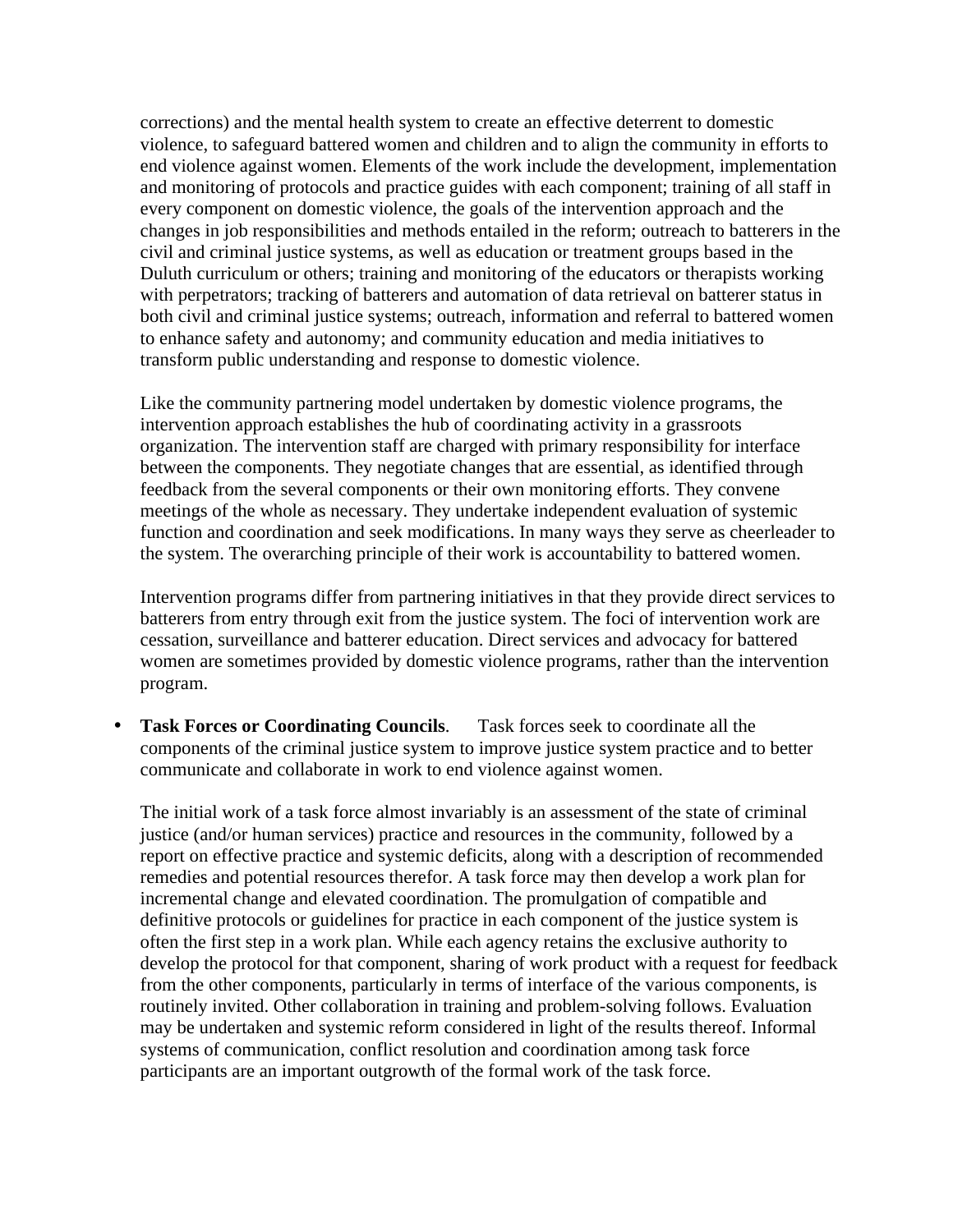corrections) and the mental health system to create an effective deterrent to domestic violence, to safeguard battered women and children and to align the community in efforts to end violence against women. Elements of the work include the development, implementation and monitoring of protocols and practice guides with each component; training of all staff in every component on domestic violence, the goals of the intervention approach and the changes in job responsibilities and methods entailed in the reform; outreach to batterers in the civil and criminal justice systems, as well as education or treatment groups based in the Duluth curriculum or others; training and monitoring of the educators or therapists working with perpetrators; tracking of batterers and automation of data retrieval on batterer status in both civil and criminal justice systems; outreach, information and referral to battered women to enhance safety and autonomy; and community education and media initiatives to transform public understanding and response to domestic violence.

Like the community partnering model undertaken by domestic violence programs, the intervention approach establishes the hub of coordinating activity in a grassroots organization. The intervention staff are charged with primary responsibility for interface between the components. They negotiate changes that are essential, as identified through feedback from the several components or their own monitoring efforts. They convene meetings of the whole as necessary. They undertake independent evaluation of systemic function and coordination and seek modifications. In many ways they serve as cheerleader to the system. The overarching principle of their work is accountability to battered women.

Intervention programs differ from partnering initiatives in that they provide direct services to batterers from entry through exit from the justice system. The foci of intervention work are cessation, surveillance and batterer education. Direct services and advocacy for battered women are sometimes provided by domestic violence programs, rather than the intervention program.

• **Task Forces or Coordinating Councils**. Task forces seek to coordinate all the components of the criminal justice system to improve justice system practice and to better communicate and collaborate in work to end violence against women.

The initial work of a task force almost invariably is an assessment of the state of criminal justice (and/or human services) practice and resources in the community, followed by a report on effective practice and systemic deficits, along with a description of recommended remedies and potential resources therefor. A task force may then develop a work plan for incremental change and elevated coordination. The promulgation of compatible and definitive protocols or guidelines for practice in each component of the justice system is often the first step in a work plan. While each agency retains the exclusive authority to develop the protocol for that component, sharing of work product with a request for feedback from the other components, particularly in terms of interface of the various components, is routinely invited. Other collaboration in training and problem-solving follows. Evaluation may be undertaken and systemic reform considered in light of the results thereof. Informal systems of communication, conflict resolution and coordination among task force participants are an important outgrowth of the formal work of the task force.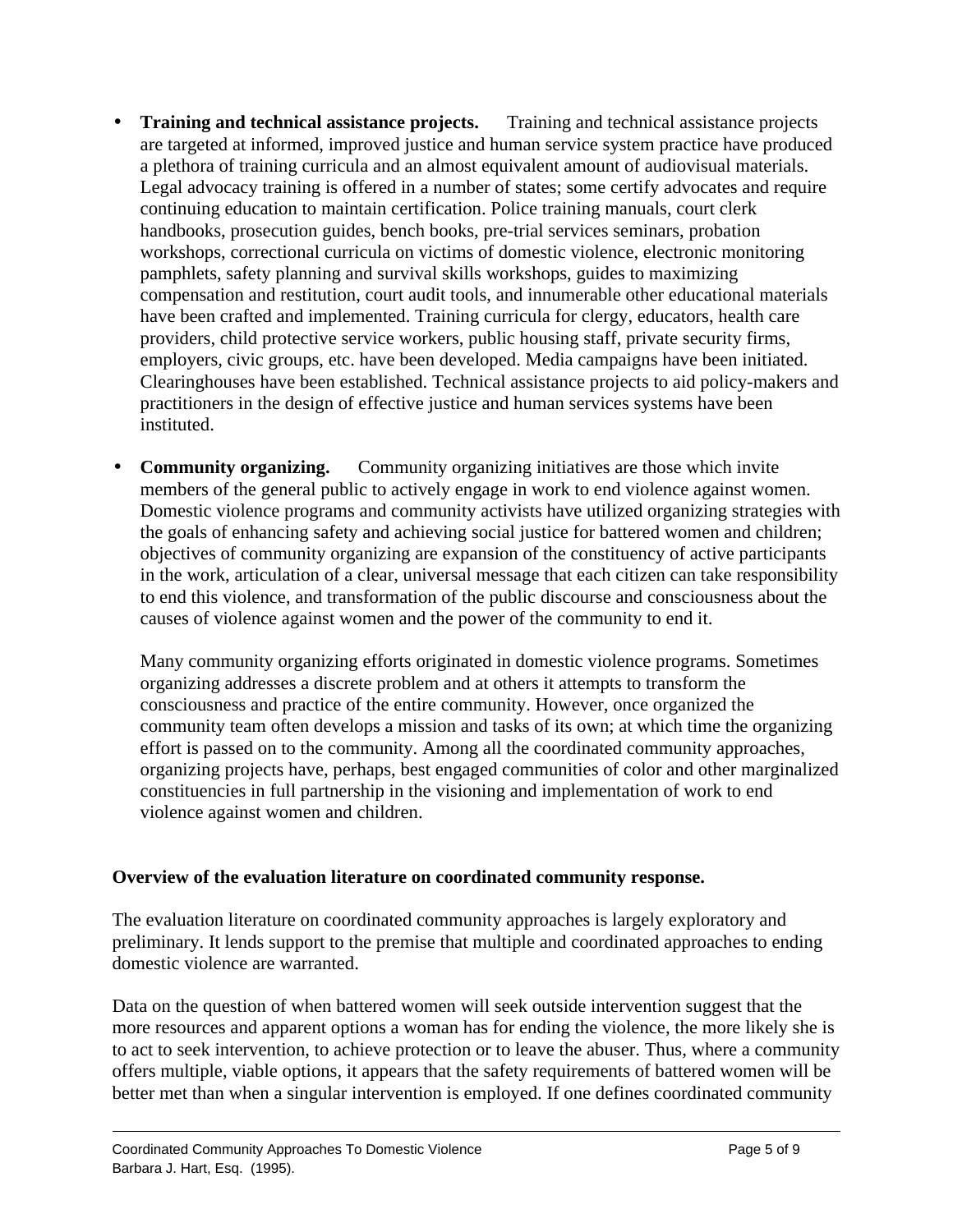- **Training and technical assistance projects.** Training and technical assistance projects are targeted at informed, improved justice and human service system practice have produced a plethora of training curricula and an almost equivalent amount of audiovisual materials. Legal advocacy training is offered in a number of states; some certify advocates and require continuing education to maintain certification. Police training manuals, court clerk handbooks, prosecution guides, bench books, pre-trial services seminars, probation workshops, correctional curricula on victims of domestic violence, electronic monitoring pamphlets, safety planning and survival skills workshops, guides to maximizing compensation and restitution, court audit tools, and innumerable other educational materials have been crafted and implemented. Training curricula for clergy, educators, health care providers, child protective service workers, public housing staff, private security firms, employers, civic groups, etc. have been developed. Media campaigns have been initiated. Clearinghouses have been established. Technical assistance projects to aid policy-makers and practitioners in the design of effective justice and human services systems have been instituted.
- **Community organizing.** Community organizing initiatives are those which invite members of the general public to actively engage in work to end violence against women. Domestic violence programs and community activists have utilized organizing strategies with the goals of enhancing safety and achieving social justice for battered women and children; objectives of community organizing are expansion of the constituency of active participants in the work, articulation of a clear, universal message that each citizen can take responsibility to end this violence, and transformation of the public discourse and consciousness about the causes of violence against women and the power of the community to end it.

Many community organizing efforts originated in domestic violence programs. Sometimes organizing addresses a discrete problem and at others it attempts to transform the consciousness and practice of the entire community. However, once organized the community team often develops a mission and tasks of its own; at which time the organizing effort is passed on to the community. Among all the coordinated community approaches, organizing projects have, perhaps, best engaged communities of color and other marginalized constituencies in full partnership in the visioning and implementation of work to end violence against women and children.

## **Overview of the evaluation literature on coordinated community response.**

The evaluation literature on coordinated community approaches is largely exploratory and preliminary. It lends support to the premise that multiple and coordinated approaches to ending domestic violence are warranted.

Data on the question of when battered women will seek outside intervention suggest that the more resources and apparent options a woman has for ending the violence, the more likely she is to act to seek intervention, to achieve protection or to leave the abuser. Thus, where a community offers multiple, viable options, it appears that the safety requirements of battered women will be better met than when a singular intervention is employed. If one defines coordinated community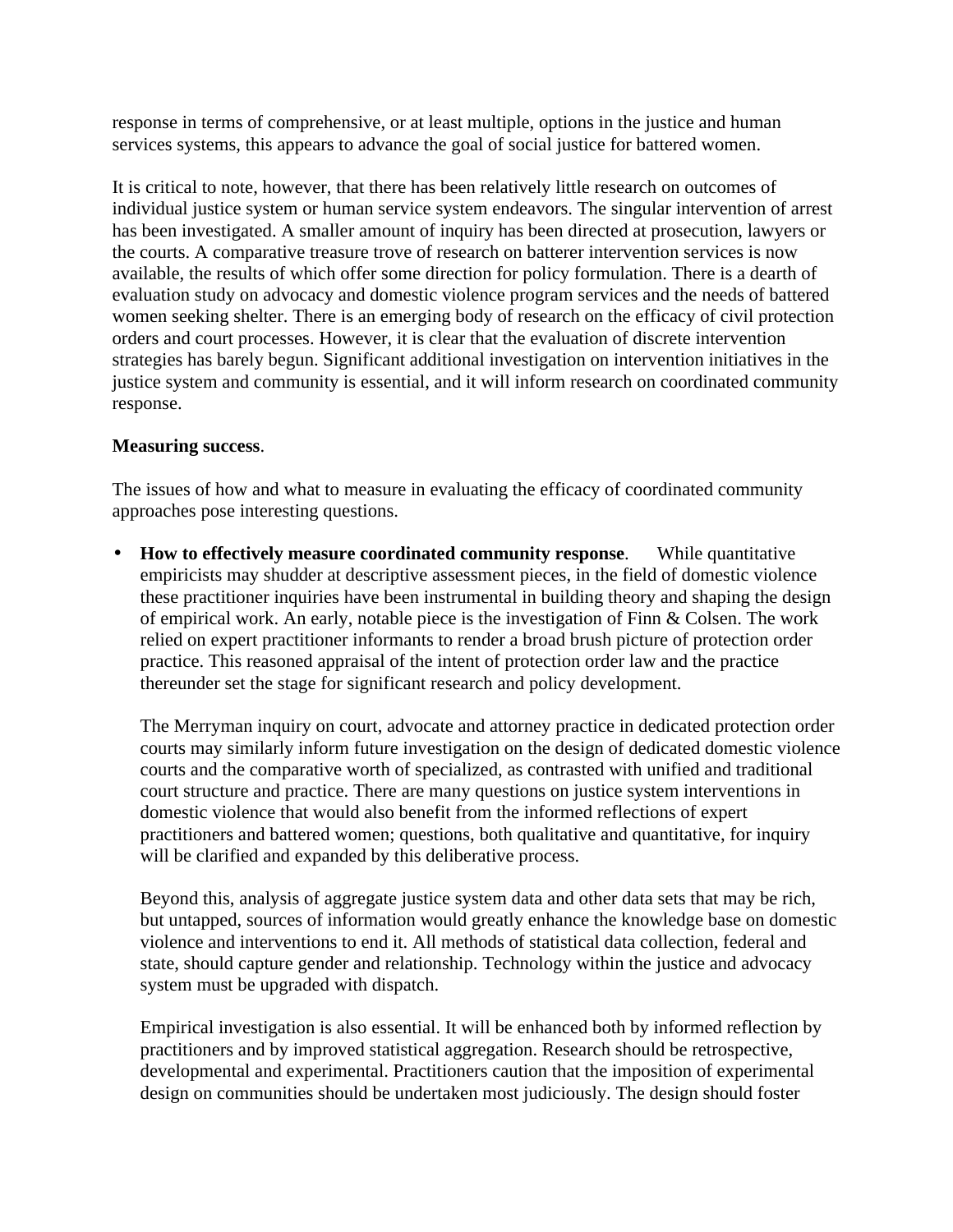response in terms of comprehensive, or at least multiple, options in the justice and human services systems, this appears to advance the goal of social justice for battered women.

It is critical to note, however, that there has been relatively little research on outcomes of individual justice system or human service system endeavors. The singular intervention of arrest has been investigated. A smaller amount of inquiry has been directed at prosecution, lawyers or the courts. A comparative treasure trove of research on batterer intervention services is now available, the results of which offer some direction for policy formulation. There is a dearth of evaluation study on advocacy and domestic violence program services and the needs of battered women seeking shelter. There is an emerging body of research on the efficacy of civil protection orders and court processes. However, it is clear that the evaluation of discrete intervention strategies has barely begun. Significant additional investigation on intervention initiatives in the justice system and community is essential, and it will inform research on coordinated community response.

### **Measuring success**.

The issues of how and what to measure in evaluating the efficacy of coordinated community approaches pose interesting questions.

• **How to effectively measure coordinated community response**. While quantitative empiricists may shudder at descriptive assessment pieces, in the field of domestic violence these practitioner inquiries have been instrumental in building theory and shaping the design of empirical work. An early, notable piece is the investigation of Finn & Colsen. The work relied on expert practitioner informants to render a broad brush picture of protection order practice. This reasoned appraisal of the intent of protection order law and the practice thereunder set the stage for significant research and policy development.

The Merryman inquiry on court, advocate and attorney practice in dedicated protection order courts may similarly inform future investigation on the design of dedicated domestic violence courts and the comparative worth of specialized, as contrasted with unified and traditional court structure and practice. There are many questions on justice system interventions in domestic violence that would also benefit from the informed reflections of expert practitioners and battered women; questions, both qualitative and quantitative, for inquiry will be clarified and expanded by this deliberative process.

Beyond this, analysis of aggregate justice system data and other data sets that may be rich, but untapped, sources of information would greatly enhance the knowledge base on domestic violence and interventions to end it. All methods of statistical data collection, federal and state, should capture gender and relationship. Technology within the justice and advocacy system must be upgraded with dispatch.

Empirical investigation is also essential. It will be enhanced both by informed reflection by practitioners and by improved statistical aggregation. Research should be retrospective, developmental and experimental. Practitioners caution that the imposition of experimental design on communities should be undertaken most judiciously. The design should foster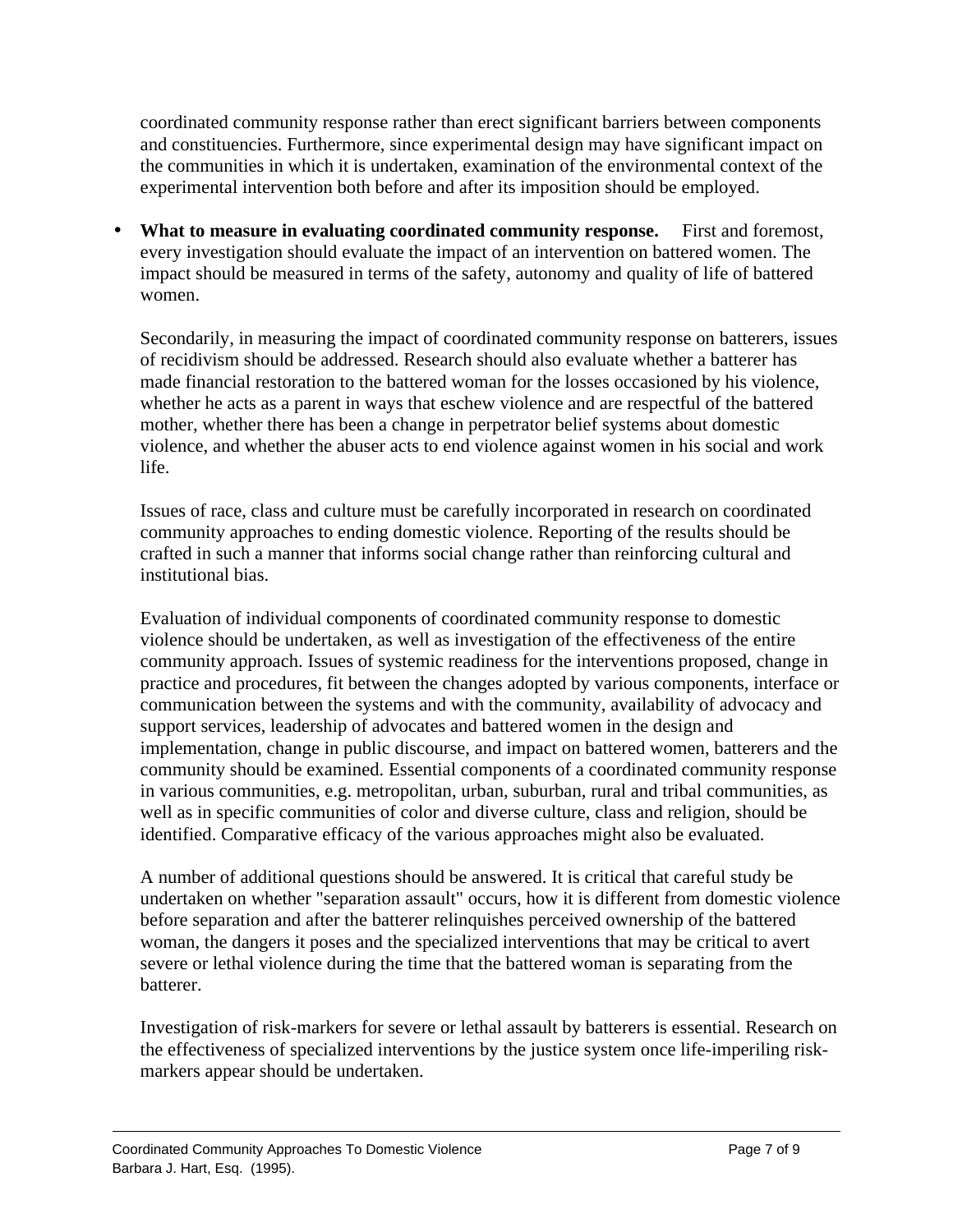coordinated community response rather than erect significant barriers between components and constituencies. Furthermore, since experimental design may have significant impact on the communities in which it is undertaken, examination of the environmental context of the experimental intervention both before and after its imposition should be employed.

• **What to measure in evaluating coordinated community response.** First and foremost, every investigation should evaluate the impact of an intervention on battered women. The impact should be measured in terms of the safety, autonomy and quality of life of battered women.

Secondarily, in measuring the impact of coordinated community response on batterers, issues of recidivism should be addressed. Research should also evaluate whether a batterer has made financial restoration to the battered woman for the losses occasioned by his violence, whether he acts as a parent in ways that eschew violence and are respectful of the battered mother, whether there has been a change in perpetrator belief systems about domestic violence, and whether the abuser acts to end violence against women in his social and work life.

Issues of race, class and culture must be carefully incorporated in research on coordinated community approaches to ending domestic violence. Reporting of the results should be crafted in such a manner that informs social change rather than reinforcing cultural and institutional bias.

Evaluation of individual components of coordinated community response to domestic violence should be undertaken, as well as investigation of the effectiveness of the entire community approach. Issues of systemic readiness for the interventions proposed, change in practice and procedures, fit between the changes adopted by various components, interface or communication between the systems and with the community, availability of advocacy and support services, leadership of advocates and battered women in the design and implementation, change in public discourse, and impact on battered women, batterers and the community should be examined. Essential components of a coordinated community response in various communities, e.g. metropolitan, urban, suburban, rural and tribal communities, as well as in specific communities of color and diverse culture, class and religion, should be identified. Comparative efficacy of the various approaches might also be evaluated.

A number of additional questions should be answered. It is critical that careful study be undertaken on whether "separation assault" occurs, how it is different from domestic violence before separation and after the batterer relinquishes perceived ownership of the battered woman, the dangers it poses and the specialized interventions that may be critical to avert severe or lethal violence during the time that the battered woman is separating from the batterer.

Investigation of risk-markers for severe or lethal assault by batterers is essential. Research on the effectiveness of specialized interventions by the justice system once life-imperiling riskmarkers appear should be undertaken.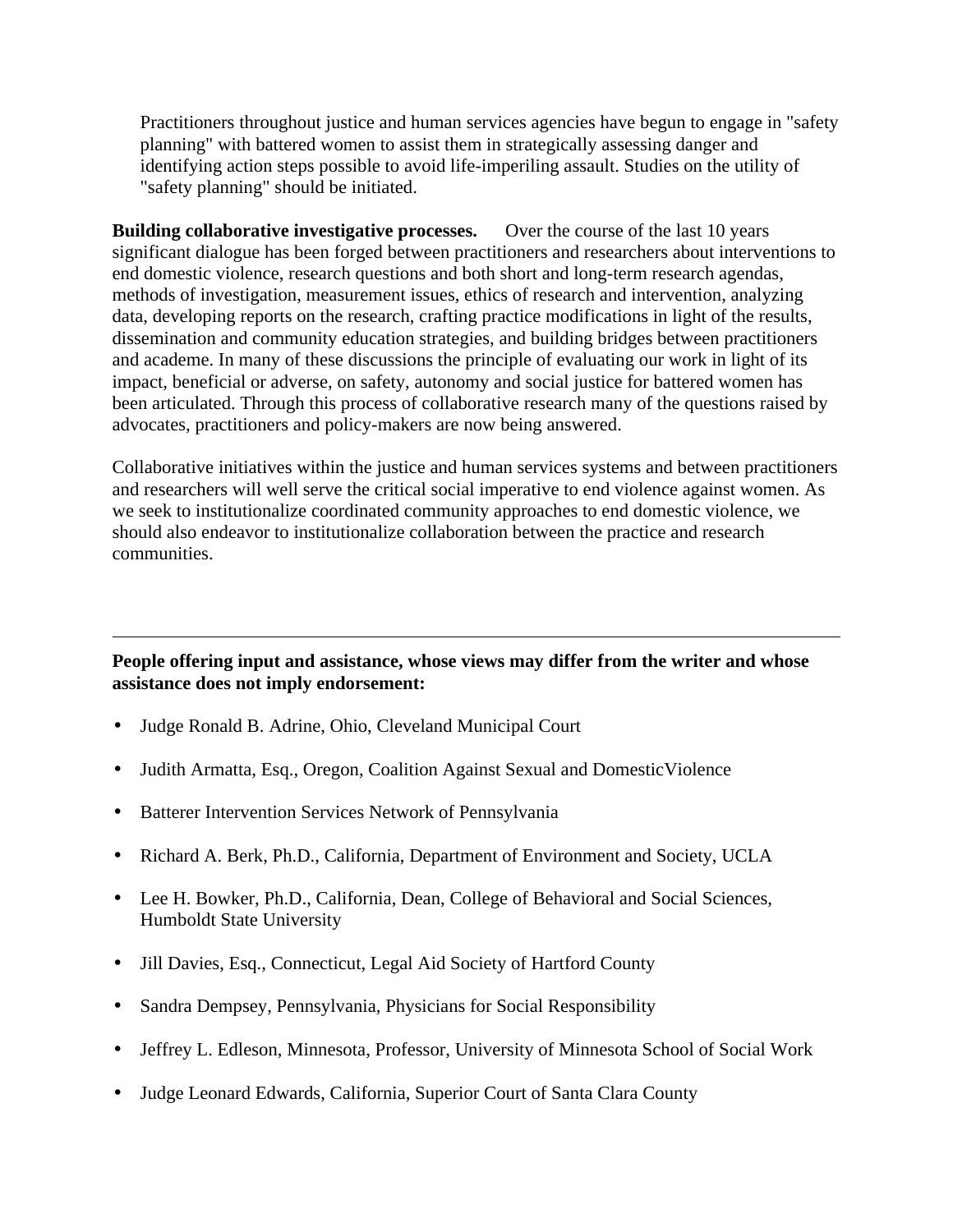Practitioners throughout justice and human services agencies have begun to engage in "safety planning" with battered women to assist them in strategically assessing danger and identifying action steps possible to avoid life-imperiling assault. Studies on the utility of "safety planning" should be initiated.

**Building collaborative investigative processes.** Over the course of the last 10 years significant dialogue has been forged between practitioners and researchers about interventions to end domestic violence, research questions and both short and long-term research agendas, methods of investigation, measurement issues, ethics of research and intervention, analyzing data, developing reports on the research, crafting practice modifications in light of the results, dissemination and community education strategies, and building bridges between practitioners and academe. In many of these discussions the principle of evaluating our work in light of its impact, beneficial or adverse, on safety, autonomy and social justice for battered women has been articulated. Through this process of collaborative research many of the questions raised by advocates, practitioners and policy-makers are now being answered.

Collaborative initiatives within the justice and human services systems and between practitioners and researchers will well serve the critical social imperative to end violence against women. As we seek to institutionalize coordinated community approaches to end domestic violence, we should also endeavor to institutionalize collaboration between the practice and research communities.

### **People offering input and assistance, whose views may differ from the writer and whose assistance does not imply endorsement:**

- Judge Ronald B. Adrine, Ohio, Cleveland Municipal Court
- Judith Armatta, Esq., Oregon, Coalition Against Sexual and DomesticViolence
- Batterer Intervention Services Network of Pennsylvania
- Richard A. Berk, Ph.D., California, Department of Environment and Society, UCLA
- Lee H. Bowker, Ph.D., California, Dean, College of Behavioral and Social Sciences, Humboldt State University
- Jill Davies, Esq., Connecticut, Legal Aid Society of Hartford County
- Sandra Dempsey, Pennsylvania, Physicians for Social Responsibility
- Jeffrey L. Edleson, Minnesota, Professor, University of Minnesota School of Social Work
- Judge Leonard Edwards, California, Superior Court of Santa Clara County